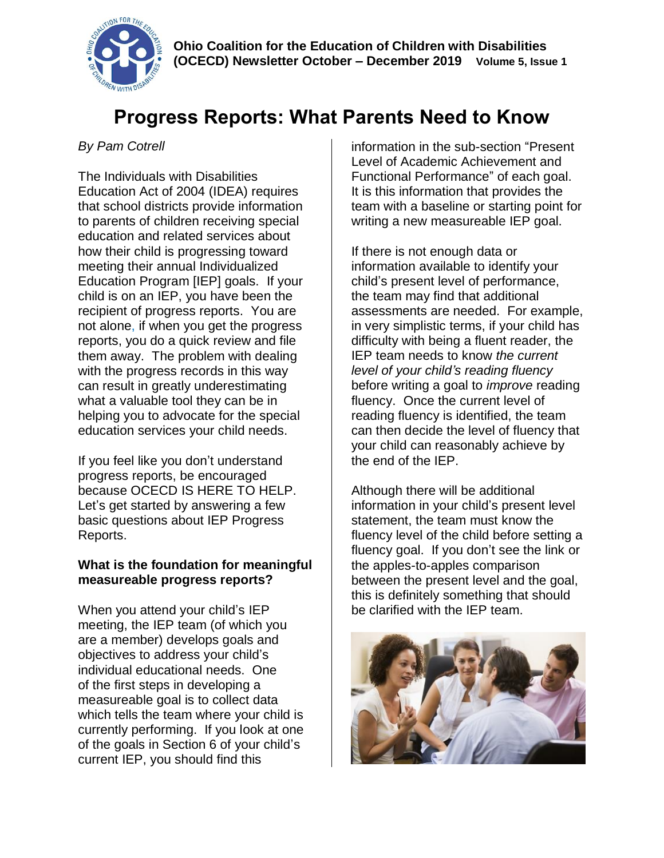

# **Progress Reports: What Parents Need to Know**

## *By Pam Cotrell*

The Individuals with Disabilities Education Act of 2004 (IDEA) requires that school districts provide information to parents of children receiving special education and related services about how their child is progressing toward meeting their annual Individualized Education Program [IEP] goals. If your child is on an IEP, you have been the recipient of progress reports. You are not alone, if when you get the progress reports, you do a quick review and file them away. The problem with dealing with the progress records in this way can result in greatly underestimating what a valuable tool they can be in helping you to advocate for the special education services your child needs.

If you feel like you don't understand progress reports, be encouraged because OCECD IS HERE TO HELP. Let's get started by answering a few basic questions about IEP Progress Reports.

### **What is the foundation for meaningful measureable progress reports?**

When you attend your child's IEP meeting, the IEP team (of which you are a member) develops goals and objectives to address your child's individual educational needs. One of the first steps in developing a measureable goal is to collect data which tells the team where your child is currently performing. If you look at one of the goals in Section 6 of your child's current IEP, you should find this

information in the sub-section "Present Level of Academic Achievement and Functional Performance" of each goal. It is this information that provides the team with a baseline or starting point for writing a new measureable IEP goal.

If there is not enough data or information available to identify your child's present level of performance, the team may find that additional assessments are needed. For example, in very simplistic terms, if your child has difficulty with being a fluent reader, the IEP team needs to know *the current level of your child's reading fluency* before writing a goal to *improve* reading fluency. Once the current level of reading fluency is identified, the team can then decide the level of fluency that your child can reasonably achieve by the end of the IEP.

Although there will be additional information in your child's present level statement, the team must know the fluency level of the child before setting a fluency goal. If you don't see the link or the apples-to-apples comparison between the present level and the goal, this is definitely something that should be clarified with the IEP team.

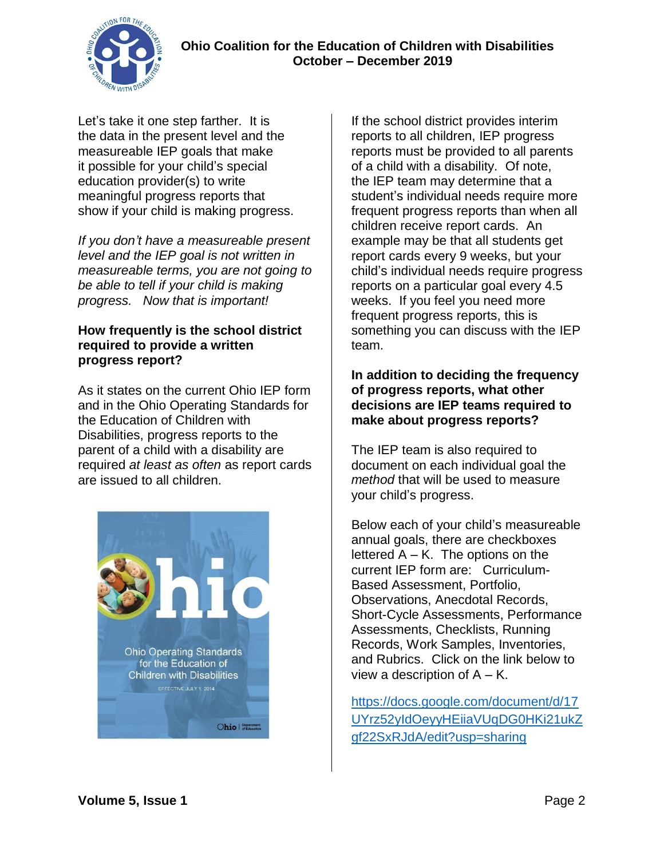



Let's take it one step farther. It is the data in the present level and the measureable IEP goals that make it possible for your child's special education provider(s) to write meaningful progress reports that show if your child is making progress.

*If you don't have a measureable present level and the IEP goal is not written in measureable terms, you are not going to be able to tell if your child is making progress. Now that is important!*

#### **How frequently is the school district required to provide a written progress report?**

As it states on the current Ohio IEP form and in the Ohio Operating Standards for the Education of Children with Disabilities, progress reports to the parent of a child with a disability are required *at least as often* as report cards are issued to all children.



If the school district provides interim reports to all children, IEP progress reports must be provided to all parents of a child with a disability. Of note, the IEP team may determine that a student's individual needs require more frequent progress reports than when all children receive report cards. An example may be that all students get report cards every 9 weeks, but your child's individual needs require progress reports on a particular goal every 4.5 weeks. If you feel you need more frequent progress reports, this is something you can discuss with the IEP team.

#### **In addition to deciding the frequency of progress reports, what other decisions are IEP teams required to make about progress reports?**

The IEP team is also required to document on each individual goal the *method* that will be used to measure your child's progress.

Below each of your child's measureable annual goals, there are checkboxes lettered  $A - K$ . The options on the current IEP form are: Curriculum-Based Assessment, Portfolio, Observations, Anecdotal Records, Short-Cycle Assessments, Performance Assessments, Checklists, Running Records, Work Samples, Inventories, and Rubrics. Click on the link below to view a description of  $A - K$ .

[https://docs.google.com/document/d/17](https://docs.google.com/document/d/17UYrz52yIdOeyyHEiiaVUqDG0HKi21ukZgf22SxRJdA/edit?usp=sharing) [UYrz52yIdOeyyHEiiaVUqDG0HKi21ukZ](https://docs.google.com/document/d/17UYrz52yIdOeyyHEiiaVUqDG0HKi21ukZgf22SxRJdA/edit?usp=sharing) [gf22SxRJdA/edit?usp=sharing](https://docs.google.com/document/d/17UYrz52yIdOeyyHEiiaVUqDG0HKi21ukZgf22SxRJdA/edit?usp=sharing)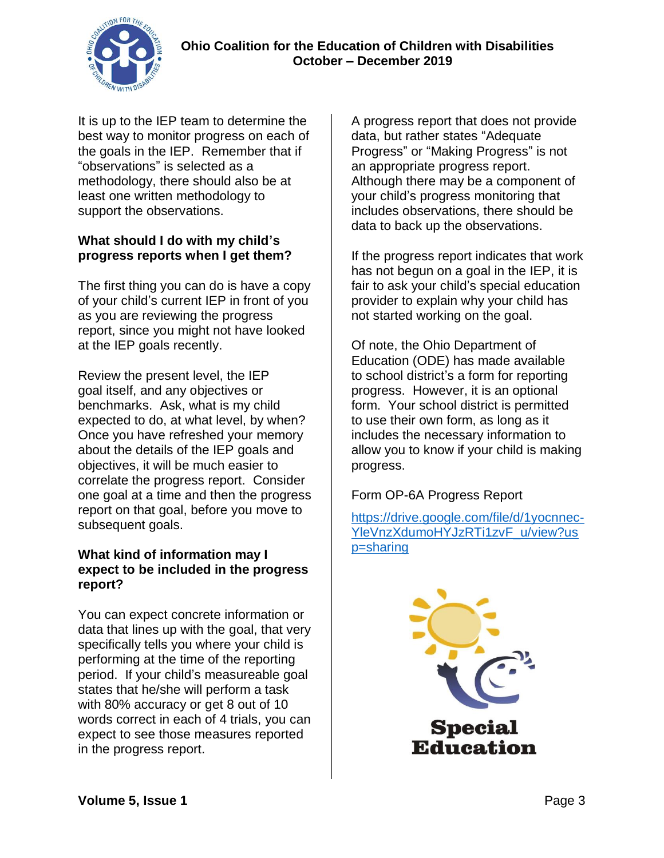

It is up to the IEP team to determine the best way to monitor progress on each of the goals in the IEP. Remember that if "observations" is selected as a methodology, there should also be at least one written methodology to support the observations.

## **What should I do with my child's progress reports when I get them?**

The first thing you can do is have a copy of your child's current IEP in front of you as you are reviewing the progress report, since you might not have looked at the IEP goals recently.

Review the present level, the IEP goal itself, and any objectives or benchmarks. Ask, what is my child expected to do, at what level, by when? Once you have refreshed your memory about the details of the IEP goals and objectives, it will be much easier to correlate the progress report. Consider one goal at a time and then the progress report on that goal, before you move to subsequent goals.

## **What kind of information may I expect to be included in the progress report?**

You can expect concrete information or data that lines up with the goal, that very specifically tells you where your child is performing at the time of the reporting period. If your child's measureable goal states that he/she will perform a task with 80% accuracy or get 8 out of 10 words correct in each of 4 trials, you can expect to see those measures reported in the progress report.

A progress report that does not provide data, but rather states "Adequate Progress" or "Making Progress" is not an appropriate progress report. Although there may be a component of your child's progress monitoring that includes observations, there should be data to back up the observations.

If the progress report indicates that work has not begun on a goal in the IEP, it is fair to ask your child's special education provider to explain why your child has not started working on the goal.

Of note, the Ohio Department of Education (ODE) has made available to school district's a form for reporting progress. However, it is an optional form. Your school district is permitted to use their own form, as long as it includes the necessary information to allow you to know if your child is making progress.

## Form OP-6A Progress Report

[https://drive.google.com/file/d/1yocnnec-](https://drive.google.com/file/d/1yocnnec-YleVnzXdumoHYJzRTi1zvF_u/view?usp=sharing)[YleVnzXdumoHYJzRTi1zvF\\_u/view?us](https://drive.google.com/file/d/1yocnnec-YleVnzXdumoHYJzRTi1zvF_u/view?usp=sharing) [p=sharing](https://drive.google.com/file/d/1yocnnec-YleVnzXdumoHYJzRTi1zvF_u/view?usp=sharing)

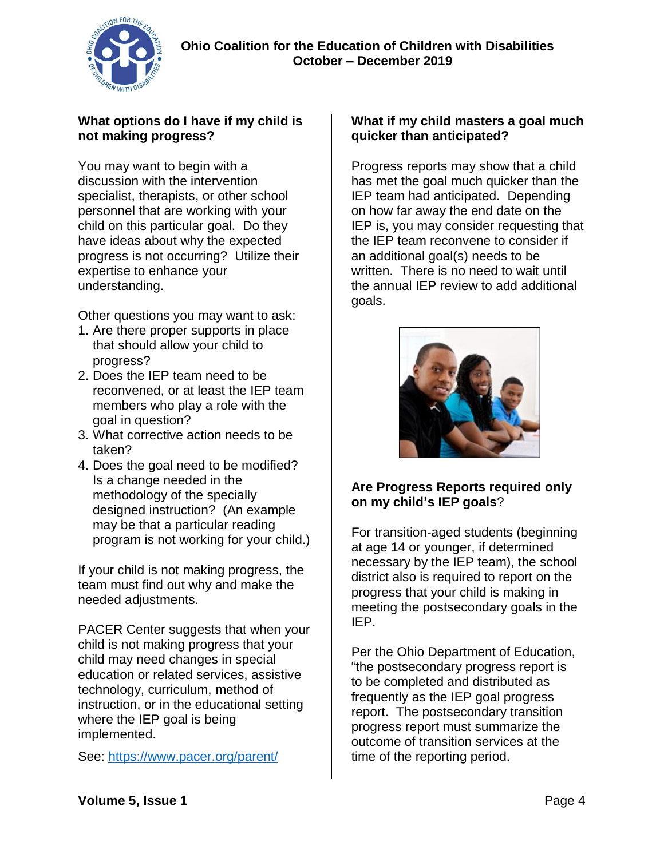

## **What options do I have if my child is not making progress?**

You may want to begin with a discussion with the intervention specialist, therapists, or other school personnel that are working with your child on this particular goal. Do they have ideas about why the expected progress is not occurring? Utilize their expertise to enhance your understanding.

Other questions you may want to ask:

- 1. Are there proper supports in place that should allow your child to progress?
- 2. Does the IEP team need to be reconvened, or at least the IEP team members who play a role with the goal in question?
- 3. What corrective action needs to be taken?
- 4. Does the goal need to be modified? Is a change needed in the methodology of the specially designed instruction? (An example may be that a particular reading program is not working for your child.)

If your child is not making progress, the team must find out why and make the needed adjustments.

PACER Center suggests that when your child is not making progress that your child may need changes in special education or related services, assistive technology, curriculum, method of instruction, or in the educational setting where the IEP goal is being implemented.

See:<https://www.pacer.org/parent/>

## **What if my child masters a goal much quicker than anticipated?**

Progress reports may show that a child has met the goal much quicker than the IEP team had anticipated. Depending on how far away the end date on the IEP is, you may consider requesting that the IEP team reconvene to consider if an additional goal(s) needs to be written. There is no need to wait until the annual IEP review to add additional goals.



## **Are Progress Reports required only on my child's IEP goals**?

For transition-aged students (beginning at age 14 or younger, if determined necessary by the IEP team), the school district also is required to report on the progress that your child is making in meeting the postsecondary goals in the IEP.

Per the Ohio Department of Education, "the postsecondary progress report is to be completed and distributed as frequently as the IEP goal progress report. The postsecondary transition progress report must summarize the outcome of transition services at the time of the reporting period.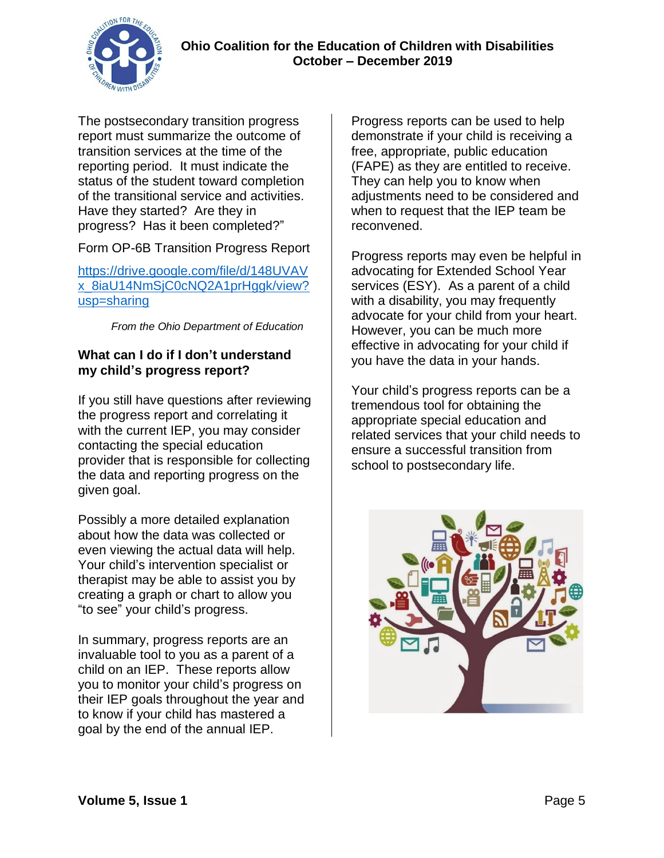

The postsecondary transition progress report must summarize the outcome of transition services at the time of the reporting period. It must indicate the status of the student toward completion of the transitional service and activities. Have they started? Are they in progress? Has it been completed?"

Form OP-6B Transition Progress Report

[https://drive.google.com/file/d/148UVAV](https://drive.google.com/file/d/148UVAVx_8iaU14NmSjC0cNQ2A1prHggk/view?usp=sharing) [x\\_8iaU14NmSjC0cNQ2A1prHggk/view?](https://drive.google.com/file/d/148UVAVx_8iaU14NmSjC0cNQ2A1prHggk/view?usp=sharing) [usp=sharing](https://drive.google.com/file/d/148UVAVx_8iaU14NmSjC0cNQ2A1prHggk/view?usp=sharing)

*From the Ohio Department of Education*

### **What can I do if I don't understand my child's progress report?**

If you still have questions after reviewing the progress report and correlating it with the current IEP, you may consider contacting the special education provider that is responsible for collecting the data and reporting progress on the given goal.

Possibly a more detailed explanation about how the data was collected or even viewing the actual data will help. Your child's intervention specialist or therapist may be able to assist you by creating a graph or chart to allow you "to see" your child's progress.

In summary, progress reports are an invaluable tool to you as a parent of a child on an IEP. These reports allow you to monitor your child's progress on their IEP goals throughout the year and to know if your child has mastered a goal by the end of the annual IEP.

Progress reports can be used to help demonstrate if your child is receiving a free, appropriate, public education (FAPE) as they are entitled to receive. They can help you to know when adjustments need to be considered and when to request that the IEP team be reconvened.

Progress reports may even be helpful in advocating for Extended School Year services (ESY). As a parent of a child with a disability, you may frequently advocate for your child from your heart. However, you can be much more effective in advocating for your child if you have the data in your hands.

Your child's progress reports can be a tremendous tool for obtaining the appropriate special education and related services that your child needs to ensure a successful transition from school to postsecondary life.